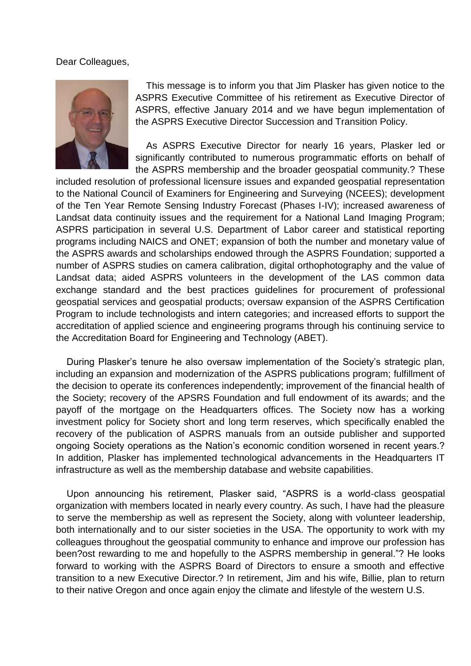## Dear Colleagues,



 This message is to inform you that Jim Plasker has given notice to the ASPRS Executive Committee of his retirement as Executive Director of ASPRS, effective January 2014 and we have begun implementation of the ASPRS Executive Director Succession and Transition Policy.

 As ASPRS Executive Director for nearly 16 years, Plasker led or significantly contributed to numerous programmatic efforts on behalf of the ASPRS membership and the broader geospatial community.? These

included resolution of professional licensure issues and expanded geospatial representation to the National Council of Examiners for Engineering and Surveying (NCEES); development of the Ten Year Remote Sensing Industry Forecast (Phases I-IV); increased awareness of Landsat data continuity issues and the requirement for a National Land Imaging Program; ASPRS participation in several U.S. Department of Labor career and statistical reporting programs including NAICS and ONET; expansion of both the number and monetary value of the ASPRS awards and scholarships endowed through the ASPRS Foundation; supported a number of ASPRS studies on camera calibration, digital orthophotography and the value of Landsat data; aided ASPRS volunteers in the development of the LAS common data exchange standard and the best practices guidelines for procurement of professional geospatial services and geospatial products; oversaw expansion of the ASPRS Certification Program to include technologists and intern categories; and increased efforts to support the accreditation of applied science and engineering programs through his continuing service to the Accreditation Board for Engineering and Technology (ABET).

 During Plasker's tenure he also oversaw implementation of the Society's strategic plan, including an expansion and modernization of the ASPRS publications program; fulfillment of the decision to operate its conferences independently; improvement of the financial health of the Society; recovery of the APSRS Foundation and full endowment of its awards; and the payoff of the mortgage on the Headquarters offices. The Society now has a working investment policy for Society short and long term reserves, which specifically enabled the recovery of the publication of ASPRS manuals from an outside publisher and supported ongoing Society operations as the Nation's economic condition worsened in recent years.? In addition, Plasker has implemented technological advancements in the Headquarters IT infrastructure as well as the membership database and website capabilities.

 Upon announcing his retirement, Plasker said, "ASPRS is a world-class geospatial organization with members located in nearly every country. As such, I have had the pleasure to serve the membership as well as represent the Society, along with volunteer leadership, both internationally and to our sister societies in the USA. The opportunity to work with my colleagues throughout the geospatial community to enhance and improve our profession has been?ost rewarding to me and hopefully to the ASPRS membership in general."? He looks forward to working with the ASPRS Board of Directors to ensure a smooth and effective transition to a new Executive Director.? In retirement, Jim and his wife, Billie, plan to return to their native Oregon and once again enjoy the climate and lifestyle of the western U.S.